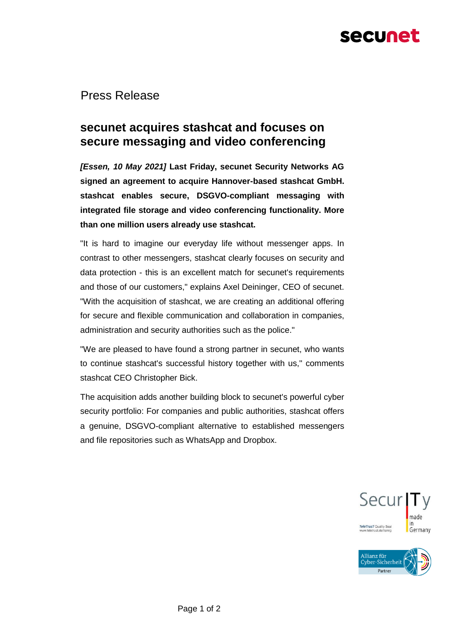# secunet

Press Release

## **secunet acquires stashcat and focuses on secure messaging and video conferencing**

*[Essen, 10 May 2021]* **Last Friday, secunet Security Networks AG signed an agreement to acquire Hannover-based stashcat GmbH. stashcat enables secure, DSGVO-compliant messaging with integrated file storage and video conferencing functionality. More than one million users already use stashcat.**

"It is hard to imagine our everyday life without messenger apps. In contrast to other messengers, stashcat clearly focuses on security and data protection - this is an excellent match for secunet's requirements and those of our customers," explains Axel Deininger, CEO of secunet. "With the acquisition of stashcat, we are creating an additional offering for secure and flexible communication and collaboration in companies, administration and security authorities such as the police."

"We are pleased to have found a strong partner in secunet, who wants to continue stashcat's successful history together with us," comments stashcat CEO Christopher Bick.

The acquisition adds another building block to secunet's powerful cyber security portfolio: For companies and public authorities, stashcat offers a genuine, DSGVO-compliant alternative to established messengers and file repositories such as WhatsApp and Dropbox.